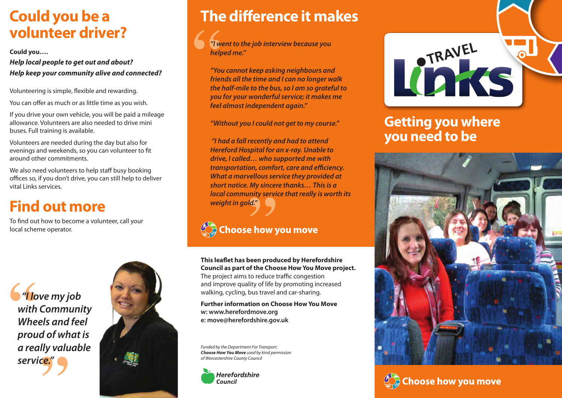### **Could you be a volunteer driver?**

**Could you….**

*Help local people to get out and about? Help keep your community alive and connected?*

Volunteering is simple, flexible and rewarding.

You can offer as much or as little time as you wish.

If you drive your own vehicle, you will be paid a mileage allowance. Volunteers are also needed to drive mini buses. Full training is available.

Volunteers are needed during the day but also for evenings and weekends, so you can volunteer to fit around other commitments.

We also need volunteers to help staff busy booking offices so, if you don't drive, you can still help to deliver vital Links services.

# **Find out more**

To find out how to become a volunteer, call your local scheme operator.

 *"I love my job with Community Wheels and feel proud of what is a really valuable service."*



## **The difference it makes**

*"I went to the job interview because you helped me."*

*"You cannot keep asking neighbours and friends all the time and I can no longer walk the half-mile to the bus, so I am so grateful to you for your wonderful service; it makes me feel almost independent again."*

*"Without you I could not get to my course."*

 *"I had a fall recently and had to attend Hereford Hospital for an x-ray. Unable to drive, I called… who supported me with transportation, comfort, care and efficiency. What a marvellous service they provided at short notice. My sincere thanks… This is a local community service that really is worth its weight in gold."*

#### Choose how you move

**This leaflet has been produced by Herefordshire Council as part of the Choose How You Move project.** The project aims to reduce traffic congestion and improve quality of life by promoting increased walking, cycling, bus travel and car-sharing.

**Further information on Choose How You Move w: www.herefordmove.org e: move@herefordshire.gov.uk**

*Funded by the Department For Transport. Choose How You Move used by kind permission of Worcestershire County Council*





#### **Getting you where you need to be**